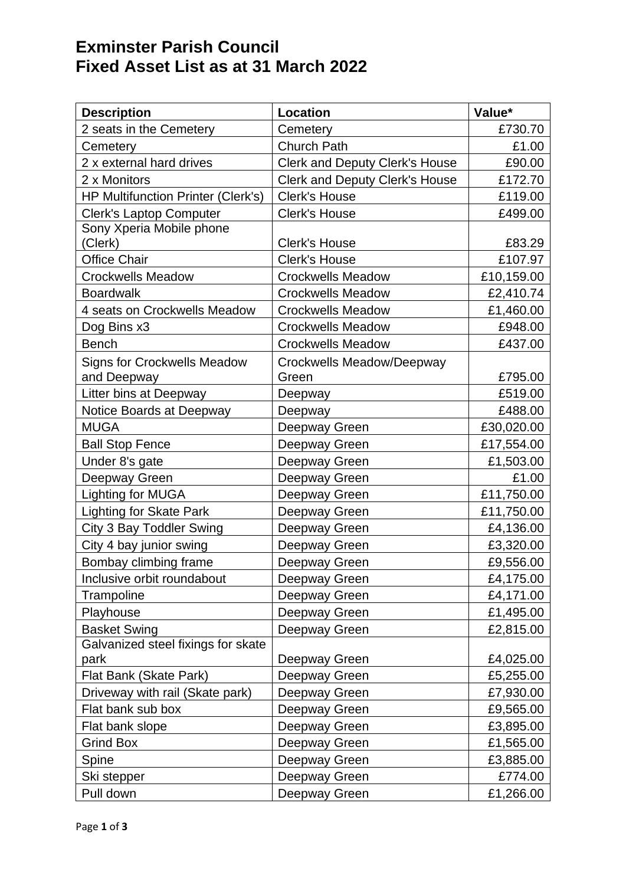## **Exminster Parish Council Fixed Asset List as at 31 March 2022**

| <b>Description</b>                                | Location                              | Value*     |
|---------------------------------------------------|---------------------------------------|------------|
| 2 seats in the Cemetery                           | Cemetery                              | £730.70    |
| Cemetery                                          | <b>Church Path</b>                    | £1.00      |
| 2 x external hard drives                          | <b>Clerk and Deputy Clerk's House</b> | £90.00     |
| 2 x Monitors                                      | <b>Clerk and Deputy Clerk's House</b> | £172.70    |
| <b>HP Multifunction Printer (Clerk's)</b>         | <b>Clerk's House</b>                  | £119.00    |
| Clerk's Laptop Computer                           | <b>Clerk's House</b>                  | £499.00    |
| Sony Xperia Mobile phone<br>(Clerk)               | <b>Clerk's House</b>                  | £83.29     |
| <b>Office Chair</b>                               | <b>Clerk's House</b>                  | £107.97    |
| <b>Crockwells Meadow</b>                          | <b>Crockwells Meadow</b>              | £10,159.00 |
| <b>Boardwalk</b>                                  | <b>Crockwells Meadow</b>              | £2,410.74  |
| 4 seats on Crockwells Meadow                      | <b>Crockwells Meadow</b>              | £1,460.00  |
| Dog Bins x3                                       | <b>Crockwells Meadow</b>              | £948.00    |
| <b>Bench</b>                                      | <b>Crockwells Meadow</b>              | £437.00    |
|                                                   |                                       |            |
| <b>Signs for Crockwells Meadow</b><br>and Deepway | Crockwells Meadow/Deepway<br>Green    | £795.00    |
| Litter bins at Deepway                            | Deepway                               | £519.00    |
| Notice Boards at Deepway                          | Deepway                               | £488.00    |
| <b>MUGA</b>                                       | Deepway Green                         | £30,020.00 |
| <b>Ball Stop Fence</b>                            | Deepway Green                         | £17,554.00 |
| Under 8's gate                                    | Deepway Green                         | £1,503.00  |
| Deepway Green                                     | Deepway Green                         | £1.00      |
| Lighting for MUGA                                 | Deepway Green                         | £11,750.00 |
| Lighting for Skate Park                           | Deepway Green                         | £11,750.00 |
| City 3 Bay Toddler Swing                          | Deepway Green                         | £4,136.00  |
| City 4 bay junior swing                           | Deepway Green                         | £3,320.00  |
| Bombay climbing frame                             | Deepway Green                         | £9,556.00  |
| Inclusive orbit roundabout                        | Deepway Green                         | £4,175.00  |
| Trampoline                                        | Deepway Green                         | £4,171.00  |
| Playhouse                                         | Deepway Green                         | £1,495.00  |
| <b>Basket Swing</b>                               | Deepway Green                         | £2,815.00  |
| Galvanized steel fixings for skate                |                                       |            |
| park                                              | Deepway Green                         | £4,025.00  |
| Flat Bank (Skate Park)                            | Deepway Green                         | £5,255.00  |
| Driveway with rail (Skate park)                   | Deepway Green                         | £7,930.00  |
| Flat bank sub box                                 | Deepway Green                         | £9,565.00  |
| Flat bank slope                                   | Deepway Green                         | £3,895.00  |
| <b>Grind Box</b>                                  | Deepway Green                         | £1,565.00  |
| Spine                                             | Deepway Green                         | £3,885.00  |
| Ski stepper                                       | Deepway Green                         | £774.00    |
| Pull down                                         | Deepway Green                         | £1,266.00  |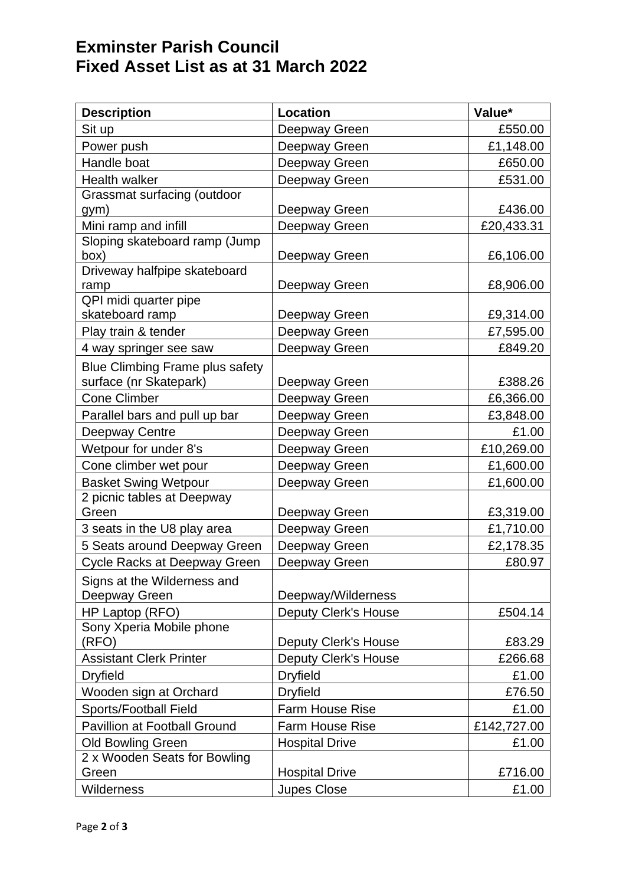## **Exminster Parish Council Fixed Asset List as at 31 March 2022**

| <b>Description</b>                     | <b>Location</b>             | Value*      |
|----------------------------------------|-----------------------------|-------------|
| Sit up                                 | Deepway Green               | £550.00     |
| Power push                             | Deepway Green               | £1,148.00   |
| Handle boat                            | Deepway Green               | £650.00     |
| <b>Health walker</b>                   | Deepway Green               | £531.00     |
| Grassmat surfacing (outdoor            |                             |             |
| gym)                                   | Deepway Green               | £436.00     |
| Mini ramp and infill                   | Deepway Green               | £20,433.31  |
| Sloping skateboard ramp (Jump          |                             |             |
| box)                                   | Deepway Green               | £6,106.00   |
| Driveway halfpipe skateboard<br>ramp   | Deepway Green               | £8,906.00   |
| QPI midi quarter pipe                  |                             |             |
| skateboard ramp                        | Deepway Green               | £9,314.00   |
| Play train & tender                    | Deepway Green               | £7,595.00   |
| 4 way springer see saw                 | Deepway Green               | £849.20     |
| <b>Blue Climbing Frame plus safety</b> |                             |             |
| surface (nr Skatepark)                 | Deepway Green               | £388.26     |
| <b>Cone Climber</b>                    | Deepway Green               | £6,366.00   |
| Parallel bars and pull up bar          | Deepway Green               | £3,848.00   |
| Deepway Centre                         | Deepway Green               | £1.00       |
| Wetpour for under 8's                  | Deepway Green               | £10,269.00  |
| Cone climber wet pour                  | Deepway Green               | £1,600.00   |
| <b>Basket Swing Wetpour</b>            | Deepway Green               | £1,600.00   |
| 2 picnic tables at Deepway             |                             |             |
| Green                                  | Deepway Green               | £3,319.00   |
| 3 seats in the U8 play area            | Deepway Green               | £1,710.00   |
| 5 Seats around Deepway Green           | Deepway Green               | £2,178.35   |
| Cycle Racks at Deepway Green           | Deepway Green               | £80.97      |
| Signs at the Wilderness and            |                             |             |
| Deepway Green                          | Deepway/Wilderness          |             |
| HP Laptop (RFO)                        | <b>Deputy Clerk's House</b> | £504.14     |
| Sony Xperia Mobile phone               |                             |             |
| (RFO)                                  | <b>Deputy Clerk's House</b> | £83.29      |
| <b>Assistant Clerk Printer</b>         | <b>Deputy Clerk's House</b> | £266.68     |
| <b>Dryfield</b>                        | <b>Dryfield</b>             | £1.00       |
| Wooden sign at Orchard                 | <b>Dryfield</b>             | £76.50      |
| Sports/Football Field                  | <b>Farm House Rise</b>      | £1.00       |
| <b>Pavillion at Football Ground</b>    | <b>Farm House Rise</b>      | £142,727.00 |
| <b>Old Bowling Green</b>               | <b>Hospital Drive</b>       | £1.00       |
| 2 x Wooden Seats for Bowling<br>Green  | <b>Hospital Drive</b>       | £716.00     |
|                                        |                             |             |
| <b>Wilderness</b>                      | <b>Jupes Close</b>          | £1.00       |